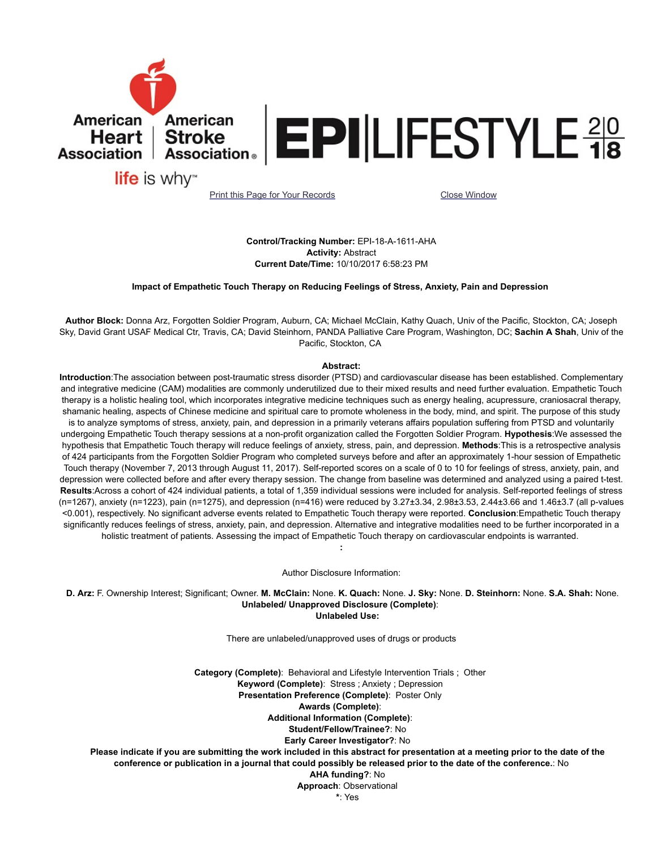

Control/Tracking Number: EPI-18-A-1611-AHA Activity: Abstract Current Date/Time: 10/10/2017 6:58:23 PM

Impact of Empathetic Touch Therapy on Reducing Feelings of Stress, Anxiety, Pain and Depression

Author Block: Donna Arz, Forgotten Soldier Program, Auburn, CA; Michael McClain, Kathy Quach, Univ of the Pacific, Stockton, CA; Joseph Sky, David Grant USAF Medical Ctr, Travis, CA; David Steinhorn, PANDA Palliative Care Program, Washington, DC; Sachin A Shah, Univ of the Pacific, Stockton, CA

## Abstract:

Introduction:The association between post-traumatic stress disorder (PTSD) and cardiovascular disease has been established. Complementary and integrative medicine (CAM) modalities are commonly underutilized due to their mixed results and need further evaluation. Empathetic Touch therapy is a holistic healing tool, which incorporates integrative medicine techniques such as energy healing, acupressure, craniosacral therapy, shamanic healing, aspects of Chinese medicine and spiritual care to promote wholeness in the body, mind, and spirit. The purpose of this study is to analyze symptoms of stress, anxiety, pain, and depression in a primarily veterans affairs population suffering from PTSD and voluntarily undergoing Empathetic Touch therapy sessions at a non-profit organization called the Forgotten Soldier Program. Hypothesis: We assessed the hypothesis that Empathetic Touch therapy will reduce feelings of anxiety, stress, pain, and depression. Methods: This is a retrospective analysis of 424 participants from the Forgotten Soldier Program who completed surveys before and after an approximately 1-hour session of Empathetic Touch therapy (November 7, 2013 through August 11, 2017). Self-reported scores on a scale of 0 to 10 for feelings of stress, anxiety, pain, and depression were collected before and after every therapy session. The change from baseline was determined and analyzed using a paired t-test. Results:Across a cohort of 424 individual patients, a total of 1,359 individual sessions were included for analysis. Self-reported feelings of stress (n=1267), anxiety (n=1223), pain (n=1275), and depression (n=416) were reduced by 3.27±3.34, 2.98±3.53, 2.44±3.66 and 1.46±3.7 (all p-values <0.001), respectively. No significant adverse events related to Empathetic Touch therapy were reported. Conclusion:Empathetic Touch therapy significantly reduces feelings of stress, anxiety, pain, and depression. Alternative and integrative modalities need to be further incorporated in a holistic treatment of patients. Assessing the impact of Empathetic Touch therapy on cardiovascular endpoints is warranted.

Author Disclosure Information:

:

 D. Arz: F. Ownership Interest; Significant; Owner. M. McClain: None. K. Quach: None. J. Sky: None. D. Steinhorn: None. S.A. Shah: None. Unlabeled/ Unapproved Disclosure (Complete): Unlabeled Use:

There are unlabeled/unapproved uses of drugs or products

Category (Complete): Behavioral and Lifestyle Intervention Trials ; Other Keyword (Complete): Stress ; Anxiety ; Depression Presentation Preference (Complete): Poster Only Awards (Complete): Additional Information (Complete): Student/Fellow/Trainee?: No Early Career Investigator?: No Please indicate if you are submitting the work included in this abstract for presentation at a meeting prior to the date of the conference or publication in a journal that could possibly be released prior to the date of the conference.: No AHA funding?: No Approach: Observational